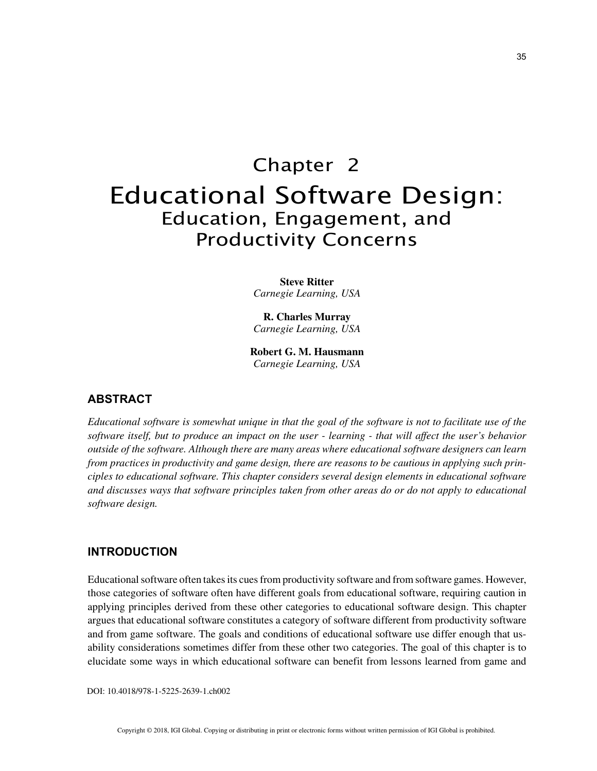# Chapter 2 Educational Software Design: Education, Engagement, and Productivity Concerns

**Steve Ritter** *Carnegie Learning, USA*

**R. Charles Murray** *Carnegie Learning, USA*

**Robert G. M. Hausmann** *Carnegie Learning, USA*

### **ABSTRACT**

*Educational software is somewhat unique in that the goal of the software is not to facilitate use of the software itself, but to produce an impact on the user - learning - that will affect the user's behavior outside of the software. Although there are many areas where educational software designers can learn from practices in productivity and game design, there are reasons to be cautious in applying such principles to educational software. This chapter considers several design elements in educational software and discusses ways that software principles taken from other areas do or do not apply to educational software design.*

## **INTRODUCTION**

Educational software often takes its cues from productivity software and from software games. However, those categories of software often have different goals from educational software, requiring caution in applying principles derived from these other categories to educational software design. This chapter argues that educational software constitutes a category of software different from productivity software and from game software. The goals and conditions of educational software use differ enough that usability considerations sometimes differ from these other two categories. The goal of this chapter is to elucidate some ways in which educational software can benefit from lessons learned from game and

DOI: 10.4018/978-1-5225-2639-1.ch002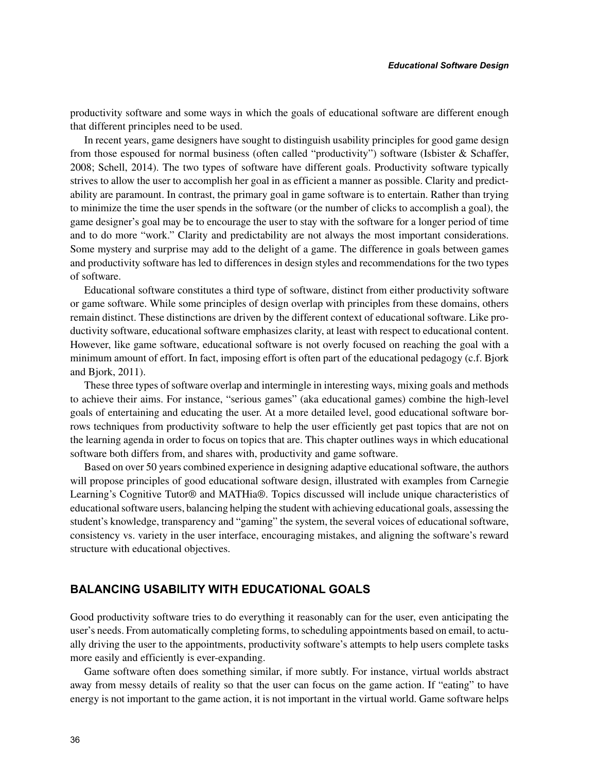productivity software and some ways in which the goals of educational software are different enough that different principles need to be used.

In recent years, game designers have sought to distinguish usability principles for good game design from those espoused for normal business (often called "productivity") software (Isbister & Schaffer, 2008; Schell, 2014). The two types of software have different goals. Productivity software typically strives to allow the user to accomplish her goal in as efficient a manner as possible. Clarity and predictability are paramount. In contrast, the primary goal in game software is to entertain. Rather than trying to minimize the time the user spends in the software (or the number of clicks to accomplish a goal), the game designer's goal may be to encourage the user to stay with the software for a longer period of time and to do more "work." Clarity and predictability are not always the most important considerations. Some mystery and surprise may add to the delight of a game. The difference in goals between games and productivity software has led to differences in design styles and recommendations for the two types of software.

Educational software constitutes a third type of software, distinct from either productivity software or game software. While some principles of design overlap with principles from these domains, others remain distinct. These distinctions are driven by the different context of educational software. Like productivity software, educational software emphasizes clarity, at least with respect to educational content. However, like game software, educational software is not overly focused on reaching the goal with a minimum amount of effort. In fact, imposing effort is often part of the educational pedagogy (c.f. Bjork and Bjork, 2011).

These three types of software overlap and intermingle in interesting ways, mixing goals and methods to achieve their aims. For instance, "serious games" (aka educational games) combine the high-level goals of entertaining and educating the user. At a more detailed level, good educational software borrows techniques from productivity software to help the user efficiently get past topics that are not on the learning agenda in order to focus on topics that are. This chapter outlines ways in which educational software both differs from, and shares with, productivity and game software.

Based on over 50 years combined experience in designing adaptive educational software, the authors will propose principles of good educational software design, illustrated with examples from Carnegie Learning's Cognitive Tutor® and MATHia®. Topics discussed will include unique characteristics of educational software users, balancing helping the student with achieving educational goals, assessing the student's knowledge, transparency and "gaming" the system, the several voices of educational software, consistency vs. variety in the user interface, encouraging mistakes, and aligning the software's reward structure with educational objectives.

## **BALANCING USABILITY WITH EDUCATIONAL GOALS**

Good productivity software tries to do everything it reasonably can for the user, even anticipating the user's needs. From automatically completing forms, to scheduling appointments based on email, to actually driving the user to the appointments, productivity software's attempts to help users complete tasks more easily and efficiently is ever-expanding.

Game software often does something similar, if more subtly. For instance, virtual worlds abstract away from messy details of reality so that the user can focus on the game action. If "eating" to have energy is not important to the game action, it is not important in the virtual world. Game software helps